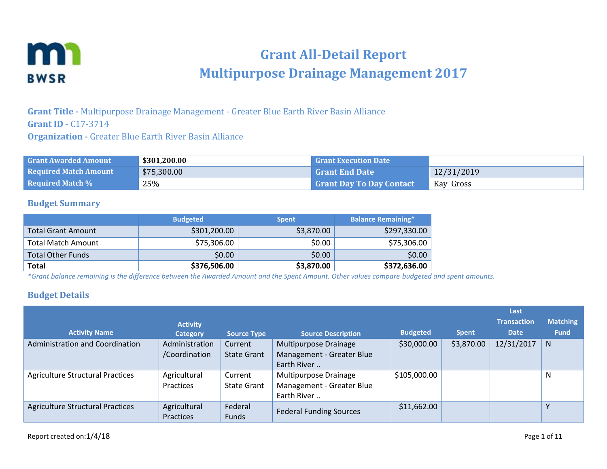

# **Grant All-Detail Report Multipurpose Drainage Management 2017**

**Grant Title -** Multipurpose Drainage Management - Greater Blue Earth River Basin Alliance **Grant ID** - C17-3714 **Organization -** Greater Blue Earth River Basin Alliance

| <b>Grant Awarded Amount</b>  | \$301,200.00 | <b>Grant Execution Date</b>     |            |
|------------------------------|--------------|---------------------------------|------------|
| <b>Required Match Amount</b> | \$75,300.00  | <b>Grant End Date</b>           | 12/31/2019 |
| <b>Required Match %</b>      | 25%          | <b>Grant Day To Day Contact</b> | Kay Gross  |

#### **Budget Summary**

|                           | <b>Budgeted</b> | <b>Spent</b> | <b>Balance Remaining*</b> |
|---------------------------|-----------------|--------------|---------------------------|
| Total Grant Amount        | \$301,200.00    | \$3,870.00   | \$297,330.00              |
| <b>Total Match Amount</b> | \$75,306.00     | \$0.00       | \$75,306.00               |
| <b>Total Other Funds</b>  | \$0.00          | \$0.00       | \$0.00                    |
| <b>Total</b>              | \$376,506.00    | \$3,870.00   | \$372,636.00              |

*\*Grant balance remaining is the difference between the Awarded Amount and the Spent Amount. Other values compare budgeted and spent amounts.*

### **Budget Details**

|                                         |                  |                    |                                |                 |              | Last               |                 |
|-----------------------------------------|------------------|--------------------|--------------------------------|-----------------|--------------|--------------------|-----------------|
|                                         | <b>Activity</b>  |                    |                                |                 |              | <b>Transaction</b> | <b>Matching</b> |
| <b>Activity Name</b>                    | Category         | <b>Source Type</b> | <b>Source Description</b>      | <b>Budgeted</b> | <b>Spent</b> | <b>Date</b>        | <b>Fund</b>     |
| Administration and Coordination         | Administration   | Current            | Multipurpose Drainage          | \$30,000.00     | \$3,870.00   | 12/31/2017         | N.              |
|                                         | /Coordination    | <b>State Grant</b> | Management - Greater Blue      |                 |              |                    |                 |
|                                         |                  |                    | Earth River                    |                 |              |                    |                 |
| <b>Agriculture Structural Practices</b> | Agricultural     | Current            | Multipurpose Drainage          | \$105,000.00    |              |                    | N               |
|                                         | Practices        | <b>State Grant</b> | Management - Greater Blue      |                 |              |                    |                 |
|                                         |                  |                    | Earth River                    |                 |              |                    |                 |
| <b>Agriculture Structural Practices</b> | Agricultural     | Federal            | <b>Federal Funding Sources</b> | \$11,662.00     |              |                    | $\mathsf{v}$    |
|                                         | <b>Practices</b> | Funds              |                                |                 |              |                    |                 |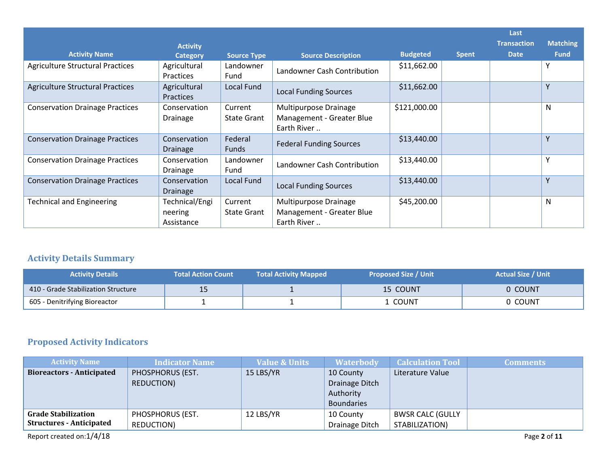| <b>Activity Name</b>                    | <b>Activity</b><br><b>Category</b>      | <b>Source Type</b>            | <b>Source Description</b>                                         | <b>Budgeted</b> | <b>Spent</b> | Last<br><b>Transaction</b><br><b>Date</b> | <b>Matching</b><br><b>Fund</b> |
|-----------------------------------------|-----------------------------------------|-------------------------------|-------------------------------------------------------------------|-----------------|--------------|-------------------------------------------|--------------------------------|
| <b>Agriculture Structural Practices</b> | Agricultural<br>Practices               | Landowner<br>Fund             | Landowner Cash Contribution                                       | \$11,662.00     |              |                                           | Υ                              |
| <b>Agriculture Structural Practices</b> | Agricultural<br><b>Practices</b>        | Local Fund                    | <b>Local Funding Sources</b>                                      | \$11,662.00     |              |                                           | Y                              |
| <b>Conservation Drainage Practices</b>  | Conservation<br>Drainage                | Current<br><b>State Grant</b> | Multipurpose Drainage<br>Management - Greater Blue<br>Earth River | \$121,000.00    |              |                                           | N                              |
| <b>Conservation Drainage Practices</b>  | Conservation<br><b>Drainage</b>         | Federal<br>Funds              | <b>Federal Funding Sources</b>                                    | \$13,440.00     |              |                                           | Υ                              |
| <b>Conservation Drainage Practices</b>  | Conservation<br>Drainage                | Landowner<br>Fund             | Landowner Cash Contribution                                       | \$13,440.00     |              |                                           | Υ                              |
| <b>Conservation Drainage Practices</b>  | Conservation<br><b>Drainage</b>         | Local Fund                    | <b>Local Funding Sources</b>                                      | \$13,440.00     |              |                                           | Y                              |
| <b>Technical and Engineering</b>        | Technical/Engi<br>neering<br>Assistance | Current<br><b>State Grant</b> | Multipurpose Drainage<br>Management - Greater Blue<br>Earth River | \$45,200.00     |              |                                           | N                              |

# **Activity Details Summary**

| <b>Activity Details</b>             | <b>Total Action Count</b> | <b>Total Activity Mapped</b> | <b>Proposed Size / Unit</b> | <b>Actual Size / Unit</b> |
|-------------------------------------|---------------------------|------------------------------|-----------------------------|---------------------------|
| 410 - Grade Stabilization Structure | --                        |                              | 15 COUNT                    | 0 COUNT                   |
| 605 - Denitrifying Bioreactor       |                           |                              | . COUNT                     | 0 COUNT                   |

# **Proposed Activity Indicators**

| <b>Activity Name</b>             | <b>Indicator Name</b> | <b>Value &amp; Units</b> | <b>Waterbody</b>  | <b>Calculation Tool</b> | <b>Comments</b> |
|----------------------------------|-----------------------|--------------------------|-------------------|-------------------------|-----------------|
| <b>Bioreactors - Anticipated</b> | PHOSPHORUS (EST.      | 15 LBS/YR                | 10 County         | Literature Value        |                 |
|                                  | <b>REDUCTION)</b>     |                          | Drainage Ditch    |                         |                 |
|                                  |                       |                          | Authority         |                         |                 |
|                                  |                       |                          | <b>Boundaries</b> |                         |                 |
| <b>Grade Stabilization</b>       | PHOSPHORUS (EST.      | 12 LBS/YR                | 10 County         | <b>BWSR CALC (GULLY</b> |                 |
| <b>Structures - Anticipated</b>  | <b>REDUCTION)</b>     |                          | Drainage Ditch    | STABILIZATION)          |                 |
| Report created on:1/4/18         |                       |                          |                   |                         | Page 2 of 11    |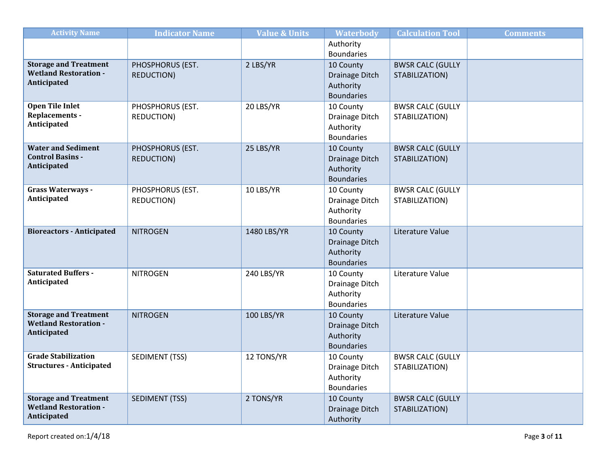| Authority<br><b>Boundaries</b><br><b>Storage and Treatment</b><br>2 LBS/YR<br>PHOSPHORUS (EST.<br><b>BWSR CALC (GULLY</b><br>10 County<br><b>Wetland Restoration -</b><br><b>REDUCTION)</b><br>Drainage Ditch<br>STABILIZATION)<br>Anticipated<br>Authority<br><b>Boundaries</b><br><b>Open Tile Inlet</b><br>20 LBS/YR<br><b>BWSR CALC (GULLY</b><br>PHOSPHORUS (EST.<br>10 County<br>Replacements -<br>REDUCTION)<br>STABILIZATION)<br>Drainage Ditch<br>Anticipated<br>Authority<br><b>Boundaries</b><br><b>Water and Sediment</b><br>25 LBS/YR<br><b>BWSR CALC (GULLY</b><br>PHOSPHORUS (EST.<br>10 County<br><b>Control Basins -</b><br><b>REDUCTION)</b><br>Drainage Ditch<br>STABILIZATION)<br>Anticipated | <b>Activity Name</b> | <b>Indicator Name</b> | <b>Value &amp; Units</b> | <b>Waterbody</b> | <b>Calculation Tool</b> | <b>Comments</b> |
|-------------------------------------------------------------------------------------------------------------------------------------------------------------------------------------------------------------------------------------------------------------------------------------------------------------------------------------------------------------------------------------------------------------------------------------------------------------------------------------------------------------------------------------------------------------------------------------------------------------------------------------------------------------------------------------------------------------------|----------------------|-----------------------|--------------------------|------------------|-------------------------|-----------------|
|                                                                                                                                                                                                                                                                                                                                                                                                                                                                                                                                                                                                                                                                                                                   |                      |                       |                          |                  |                         |                 |
|                                                                                                                                                                                                                                                                                                                                                                                                                                                                                                                                                                                                                                                                                                                   |                      |                       |                          |                  |                         |                 |
|                                                                                                                                                                                                                                                                                                                                                                                                                                                                                                                                                                                                                                                                                                                   |                      |                       |                          |                  |                         |                 |
|                                                                                                                                                                                                                                                                                                                                                                                                                                                                                                                                                                                                                                                                                                                   |                      |                       |                          |                  |                         |                 |
|                                                                                                                                                                                                                                                                                                                                                                                                                                                                                                                                                                                                                                                                                                                   |                      |                       |                          |                  |                         |                 |
|                                                                                                                                                                                                                                                                                                                                                                                                                                                                                                                                                                                                                                                                                                                   |                      |                       |                          |                  |                         |                 |
|                                                                                                                                                                                                                                                                                                                                                                                                                                                                                                                                                                                                                                                                                                                   |                      |                       |                          |                  |                         |                 |
|                                                                                                                                                                                                                                                                                                                                                                                                                                                                                                                                                                                                                                                                                                                   |                      |                       |                          |                  |                         |                 |
|                                                                                                                                                                                                                                                                                                                                                                                                                                                                                                                                                                                                                                                                                                                   |                      |                       |                          |                  |                         |                 |
|                                                                                                                                                                                                                                                                                                                                                                                                                                                                                                                                                                                                                                                                                                                   |                      |                       |                          |                  |                         |                 |
|                                                                                                                                                                                                                                                                                                                                                                                                                                                                                                                                                                                                                                                                                                                   |                      |                       |                          |                  |                         |                 |
|                                                                                                                                                                                                                                                                                                                                                                                                                                                                                                                                                                                                                                                                                                                   |                      |                       |                          |                  |                         |                 |
|                                                                                                                                                                                                                                                                                                                                                                                                                                                                                                                                                                                                                                                                                                                   |                      |                       |                          | Authority        |                         |                 |
| <b>Boundaries</b>                                                                                                                                                                                                                                                                                                                                                                                                                                                                                                                                                                                                                                                                                                 |                      |                       |                          |                  |                         |                 |
| Grass Waterways -<br>10 LBS/YR<br>PHOSPHORUS (EST.<br><b>BWSR CALC (GULLY</b><br>10 County                                                                                                                                                                                                                                                                                                                                                                                                                                                                                                                                                                                                                        |                      |                       |                          |                  |                         |                 |
| Anticipated<br>REDUCTION)<br>STABILIZATION)<br>Drainage Ditch                                                                                                                                                                                                                                                                                                                                                                                                                                                                                                                                                                                                                                                     |                      |                       |                          |                  |                         |                 |
| Authority                                                                                                                                                                                                                                                                                                                                                                                                                                                                                                                                                                                                                                                                                                         |                      |                       |                          |                  |                         |                 |
| <b>Boundaries</b>                                                                                                                                                                                                                                                                                                                                                                                                                                                                                                                                                                                                                                                                                                 |                      |                       |                          |                  |                         |                 |
| <b>Bioreactors - Anticipated</b><br>1480 LBS/YR<br>Literature Value<br><b>NITROGEN</b><br>10 County                                                                                                                                                                                                                                                                                                                                                                                                                                                                                                                                                                                                               |                      |                       |                          |                  |                         |                 |
| Drainage Ditch                                                                                                                                                                                                                                                                                                                                                                                                                                                                                                                                                                                                                                                                                                    |                      |                       |                          |                  |                         |                 |
| Authority                                                                                                                                                                                                                                                                                                                                                                                                                                                                                                                                                                                                                                                                                                         |                      |                       |                          |                  |                         |                 |
| <b>Boundaries</b>                                                                                                                                                                                                                                                                                                                                                                                                                                                                                                                                                                                                                                                                                                 |                      |                       |                          |                  |                         |                 |
| <b>Saturated Buffers -</b><br>240 LBS/YR<br><b>NITROGEN</b><br>10 County<br>Literature Value<br>Anticipated                                                                                                                                                                                                                                                                                                                                                                                                                                                                                                                                                                                                       |                      |                       |                          |                  |                         |                 |
| Drainage Ditch                                                                                                                                                                                                                                                                                                                                                                                                                                                                                                                                                                                                                                                                                                    |                      |                       |                          |                  |                         |                 |
| Authority<br><b>Boundaries</b>                                                                                                                                                                                                                                                                                                                                                                                                                                                                                                                                                                                                                                                                                    |                      |                       |                          |                  |                         |                 |
| <b>Storage and Treatment</b>                                                                                                                                                                                                                                                                                                                                                                                                                                                                                                                                                                                                                                                                                      |                      |                       |                          |                  |                         |                 |
| 100 LBS/YR<br>Literature Value<br><b>NITROGEN</b><br>10 County<br><b>Wetland Restoration -</b>                                                                                                                                                                                                                                                                                                                                                                                                                                                                                                                                                                                                                    |                      |                       |                          |                  |                         |                 |
| Drainage Ditch<br>Anticipated<br>Authority                                                                                                                                                                                                                                                                                                                                                                                                                                                                                                                                                                                                                                                                        |                      |                       |                          |                  |                         |                 |
| <b>Boundaries</b>                                                                                                                                                                                                                                                                                                                                                                                                                                                                                                                                                                                                                                                                                                 |                      |                       |                          |                  |                         |                 |
| <b>Grade Stabilization</b><br>12 TONS/YR<br>SEDIMENT (TSS)<br><b>BWSR CALC (GULLY</b><br>10 County                                                                                                                                                                                                                                                                                                                                                                                                                                                                                                                                                                                                                |                      |                       |                          |                  |                         |                 |
| <b>Structures - Anticipated</b><br>STABILIZATION)<br>Drainage Ditch                                                                                                                                                                                                                                                                                                                                                                                                                                                                                                                                                                                                                                               |                      |                       |                          |                  |                         |                 |
| Authority                                                                                                                                                                                                                                                                                                                                                                                                                                                                                                                                                                                                                                                                                                         |                      |                       |                          |                  |                         |                 |
| <b>Boundaries</b>                                                                                                                                                                                                                                                                                                                                                                                                                                                                                                                                                                                                                                                                                                 |                      |                       |                          |                  |                         |                 |
| <b>Storage and Treatment</b><br>2 TONS/YR<br><b>SEDIMENT (TSS)</b><br>10 County<br><b>BWSR CALC (GULLY</b>                                                                                                                                                                                                                                                                                                                                                                                                                                                                                                                                                                                                        |                      |                       |                          |                  |                         |                 |
| <b>Wetland Restoration -</b><br>STABILIZATION)<br>Drainage Ditch                                                                                                                                                                                                                                                                                                                                                                                                                                                                                                                                                                                                                                                  |                      |                       |                          |                  |                         |                 |
| Anticipated<br>Authority                                                                                                                                                                                                                                                                                                                                                                                                                                                                                                                                                                                                                                                                                          |                      |                       |                          |                  |                         |                 |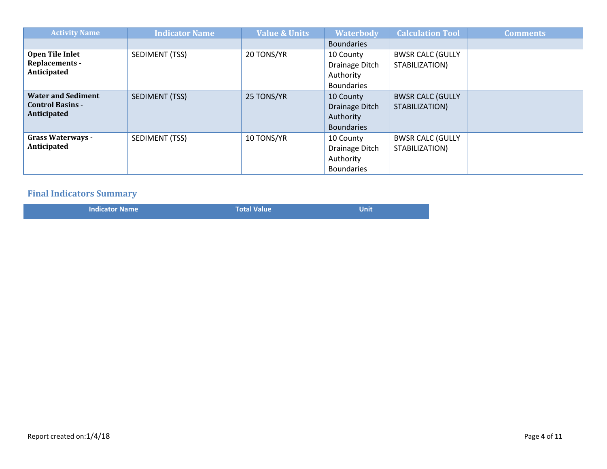| <b>Activity Name</b>                                                | <b>Indicator Name</b> | <b>Value &amp; Units</b> | <b>Waterbody</b>                                              | <b>Calculation Tool</b>                   | <b>Comments</b> |
|---------------------------------------------------------------------|-----------------------|--------------------------|---------------------------------------------------------------|-------------------------------------------|-----------------|
|                                                                     |                       |                          | <b>Boundaries</b>                                             |                                           |                 |
| Open Tile Inlet<br><b>Replacements -</b><br>Anticipated             | SEDIMENT (TSS)        | 20 TONS/YR               | 10 County<br>Drainage Ditch<br>Authority<br><b>Boundaries</b> | <b>BWSR CALC (GULLY</b><br>STABILIZATION) |                 |
| <b>Water and Sediment</b><br><b>Control Basins -</b><br>Anticipated | SEDIMENT (TSS)        | 25 TONS/YR               | 10 County<br>Drainage Ditch<br>Authority<br><b>Boundaries</b> | <b>BWSR CALC (GULLY</b><br>STABILIZATION) |                 |
| <b>Grass Waterways -</b><br>Anticipated                             | SEDIMENT (TSS)        | 10 TONS/YR               | 10 County<br>Drainage Ditch<br>Authority<br><b>Boundaries</b> | <b>BWSR CALC (GULLY</b><br>STABILIZATION) |                 |

# **Final Indicators Summary**

| <b>Indicator Name</b> | <b>Total Value</b> | Unit |
|-----------------------|--------------------|------|
|                       |                    |      |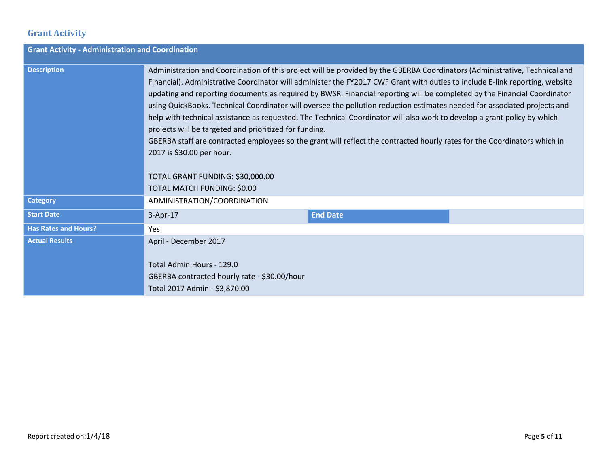## **Grant Activity**

|                             | <b>Grant Activity - Administration and Coordination</b>                                                                                                                                                                                                                                                                                                                                                                                                                                                                                                                                                                                                                                                                                                                                                                                                                                                                                |                 |  |  |  |  |
|-----------------------------|----------------------------------------------------------------------------------------------------------------------------------------------------------------------------------------------------------------------------------------------------------------------------------------------------------------------------------------------------------------------------------------------------------------------------------------------------------------------------------------------------------------------------------------------------------------------------------------------------------------------------------------------------------------------------------------------------------------------------------------------------------------------------------------------------------------------------------------------------------------------------------------------------------------------------------------|-----------------|--|--|--|--|
| <b>Description</b>          | Administration and Coordination of this project will be provided by the GBERBA Coordinators (Administrative, Technical and<br>Financial). Administrative Coordinator will administer the FY2017 CWF Grant with duties to include E-link reporting, website<br>updating and reporting documents as required by BWSR. Financial reporting will be completed by the Financial Coordinator<br>using QuickBooks. Technical Coordinator will oversee the pollution reduction estimates needed for associated projects and<br>help with technical assistance as requested. The Technical Coordinator will also work to develop a grant policy by which<br>projects will be targeted and prioritized for funding.<br>GBERBA staff are contracted employees so the grant will reflect the contracted hourly rates for the Coordinators which in<br>2017 is \$30.00 per hour.<br>TOTAL GRANT FUNDING: \$30,000.00<br>TOTAL MATCH FUNDING: \$0.00 |                 |  |  |  |  |
| <b>Category</b>             | ADMINISTRATION/COORDINATION                                                                                                                                                                                                                                                                                                                                                                                                                                                                                                                                                                                                                                                                                                                                                                                                                                                                                                            |                 |  |  |  |  |
| <b>Start Date</b>           | 3-Apr-17                                                                                                                                                                                                                                                                                                                                                                                                                                                                                                                                                                                                                                                                                                                                                                                                                                                                                                                               | <b>End Date</b> |  |  |  |  |
| <b>Has Rates and Hours?</b> | Yes                                                                                                                                                                                                                                                                                                                                                                                                                                                                                                                                                                                                                                                                                                                                                                                                                                                                                                                                    |                 |  |  |  |  |
| <b>Actual Results</b>       | April - December 2017<br>Total Admin Hours - 129.0<br>GBERBA contracted hourly rate - \$30.00/hour<br>Total 2017 Admin - \$3,870.00                                                                                                                                                                                                                                                                                                                                                                                                                                                                                                                                                                                                                                                                                                                                                                                                    |                 |  |  |  |  |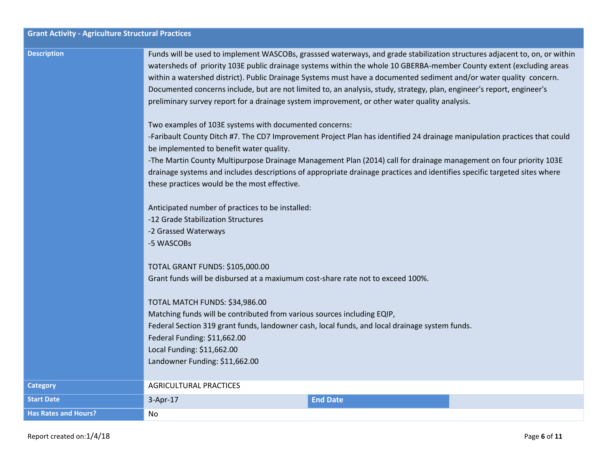|                             | <b>Grant Activity - Agriculture Structural Practices</b>                                                                                                                                                                                                                                                                                                                                                                                                                                                                                                                                                                                                       |  |  |  |  |
|-----------------------------|----------------------------------------------------------------------------------------------------------------------------------------------------------------------------------------------------------------------------------------------------------------------------------------------------------------------------------------------------------------------------------------------------------------------------------------------------------------------------------------------------------------------------------------------------------------------------------------------------------------------------------------------------------------|--|--|--|--|
| <b>Description</b>          | Funds will be used to implement WASCOBs, grasssed waterways, and grade stabilization structures adjacent to, on, or within<br>watersheds of priority 103E public drainage systems within the whole 10 GBERBA-member County extent (excluding areas<br>within a watershed district). Public Drainage Systems must have a documented sediment and/or water quality concern.<br>Documented concerns include, but are not limited to, an analysis, study, strategy, plan, engineer's report, engineer's<br>preliminary survey report for a drainage system improvement, or other water quality analysis.<br>Two examples of 103E systems with documented concerns: |  |  |  |  |
|                             | -Faribault County Ditch #7. The CD7 Improvement Project Plan has identified 24 drainage manipulation practices that could                                                                                                                                                                                                                                                                                                                                                                                                                                                                                                                                      |  |  |  |  |
|                             | be implemented to benefit water quality.<br>-The Martin County Multipurpose Drainage Management Plan (2014) call for drainage management on four priority 103E<br>drainage systems and includes descriptions of appropriate drainage practices and identifies specific targeted sites where<br>these practices would be the most effective.                                                                                                                                                                                                                                                                                                                    |  |  |  |  |
|                             | Anticipated number of practices to be installed:<br>-12 Grade Stabilization Structures<br>-2 Grassed Waterways<br>-5 WASCOBs                                                                                                                                                                                                                                                                                                                                                                                                                                                                                                                                   |  |  |  |  |
|                             | <b>TOTAL GRANT FUNDS: \$105,000.00</b><br>Grant funds will be disbursed at a maxiumum cost-share rate not to exceed 100%.                                                                                                                                                                                                                                                                                                                                                                                                                                                                                                                                      |  |  |  |  |
|                             | TOTAL MATCH FUNDS: \$34,986.00<br>Matching funds will be contributed from various sources including EQIP,<br>Federal Section 319 grant funds, landowner cash, local funds, and local drainage system funds.<br>Federal Funding: \$11,662.00<br>Local Funding: \$11,662.00<br>Landowner Funding: \$11,662.00                                                                                                                                                                                                                                                                                                                                                    |  |  |  |  |
| <b>Category</b>             | <b>AGRICULTURAL PRACTICES</b>                                                                                                                                                                                                                                                                                                                                                                                                                                                                                                                                                                                                                                  |  |  |  |  |
| <b>Start Date</b>           | <b>End Date</b><br>$3-Apr-17$                                                                                                                                                                                                                                                                                                                                                                                                                                                                                                                                                                                                                                  |  |  |  |  |
| <b>Has Rates and Hours?</b> | No                                                                                                                                                                                                                                                                                                                                                                                                                                                                                                                                                                                                                                                             |  |  |  |  |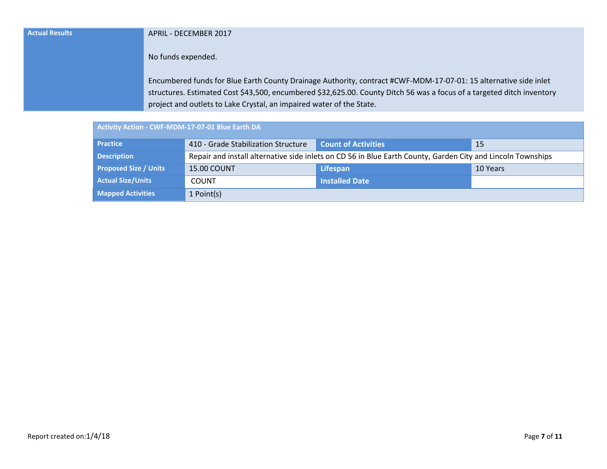| <b>Actual Results</b> | APRIL - DECEMBER 2017                                                                                                  |
|-----------------------|------------------------------------------------------------------------------------------------------------------------|
|                       | No funds expended.                                                                                                     |
|                       | Encumbered funds for Blue Earth County Drainage Authority, contract #CWF-MDM-17-07-01: 15 alternative side inlet       |
|                       | structures. Estimated Cost \$43,500, encumbered \$32,625.00. County Ditch 56 was a focus of a targeted ditch inventory |
|                       | project and outlets to Lake Crystal, an impaired water of the State.                                                   |

| Activity Action - CWF-MDM-17-07-01 Blue Earth DA |                                                                                                             |                            |          |
|--------------------------------------------------|-------------------------------------------------------------------------------------------------------------|----------------------------|----------|
| <b>Practice</b>                                  | 410 - Grade Stabilization Structure                                                                         | <b>Count of Activities</b> | -15      |
| <b>Description</b>                               | Repair and install alternative side inlets on CD 56 in Blue Earth County, Garden City and Lincoln Townships |                            |          |
| <b>Proposed Size / Units</b>                     | <b>15.00 COUNT</b>                                                                                          | <b>Lifespan</b>            | 10 Years |
| <b>Actual Size/Units</b>                         | <b>COUNT</b>                                                                                                | <b>Installed Date</b>      |          |
| <b>Mapped Activities</b>                         | 1 Point(s)                                                                                                  |                            |          |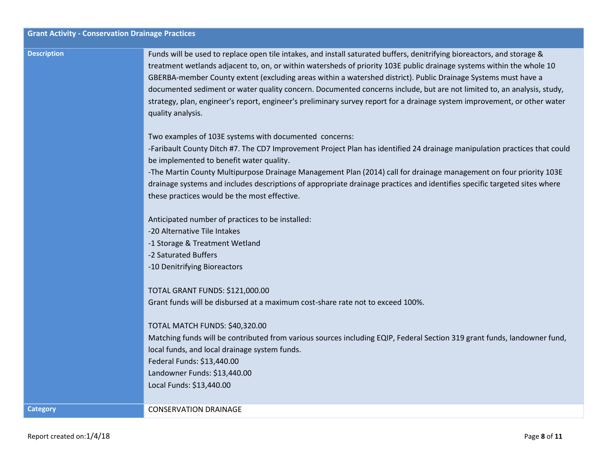**Category CALCE CONSERVATION DRAINAGE** 

| <b>Grant Activity - Conservation Drainage Practices</b> |                                                                                                                                                                                                                                                                                                                                                                                                                                                                                                                                                                                                                                                |
|---------------------------------------------------------|------------------------------------------------------------------------------------------------------------------------------------------------------------------------------------------------------------------------------------------------------------------------------------------------------------------------------------------------------------------------------------------------------------------------------------------------------------------------------------------------------------------------------------------------------------------------------------------------------------------------------------------------|
| <b>Description</b>                                      | Funds will be used to replace open tile intakes, and install saturated buffers, denitrifying bioreactors, and storage &<br>treatment wetlands adjacent to, on, or within watersheds of priority 103E public drainage systems within the whole 10<br>GBERBA-member County extent (excluding areas within a watershed district). Public Drainage Systems must have a<br>documented sediment or water quality concern. Documented concerns include, but are not limited to, an analysis, study,<br>strategy, plan, engineer's report, engineer's preliminary survey report for a drainage system improvement, or other water<br>quality analysis. |
|                                                         | Two examples of 103E systems with documented concerns:<br>-Faribault County Ditch #7. The CD7 Improvement Project Plan has identified 24 drainage manipulation practices that could<br>be implemented to benefit water quality.                                                                                                                                                                                                                                                                                                                                                                                                                |
|                                                         | -The Martin County Multipurpose Drainage Management Plan (2014) call for drainage management on four priority 103E<br>drainage systems and includes descriptions of appropriate drainage practices and identifies specific targeted sites where<br>these practices would be the most effective.                                                                                                                                                                                                                                                                                                                                                |
|                                                         | Anticipated number of practices to be installed:<br>-20 Alternative Tile Intakes<br>-1 Storage & Treatment Wetland<br>-2 Saturated Buffers                                                                                                                                                                                                                                                                                                                                                                                                                                                                                                     |
|                                                         | -10 Denitrifying Bioreactors<br>TOTAL GRANT FUNDS: \$121,000.00<br>Grant funds will be disbursed at a maximum cost-share rate not to exceed 100%.                                                                                                                                                                                                                                                                                                                                                                                                                                                                                              |
|                                                         | TOTAL MATCH FUNDS: \$40,320.00<br>Matching funds will be contributed from various sources including EQIP, Federal Section 319 grant funds, landowner fund,<br>local funds, and local drainage system funds.<br>Federal Funds: \$13,440.00<br>Landowner Funds: \$13,440.00                                                                                                                                                                                                                                                                                                                                                                      |
|                                                         | Local Funds: \$13,440.00                                                                                                                                                                                                                                                                                                                                                                                                                                                                                                                                                                                                                       |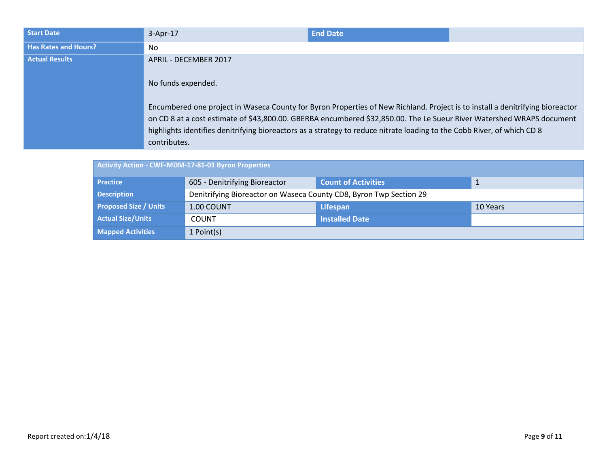| <b>Start Date</b>           | $3-Apr-17$                                                                                                                                                                                                                                                                                                                                                                                                                       | <b>End Date</b> |  |
|-----------------------------|----------------------------------------------------------------------------------------------------------------------------------------------------------------------------------------------------------------------------------------------------------------------------------------------------------------------------------------------------------------------------------------------------------------------------------|-----------------|--|
| <b>Has Rates and Hours?</b> | No                                                                                                                                                                                                                                                                                                                                                                                                                               |                 |  |
| <b>Actual Results</b>       | APRIL - DECEMBER 2017<br>No funds expended.<br>Encumbered one project in Waseca County for Byron Properties of New Richland. Project is to install a denitrifying bioreactor<br>on CD 8 at a cost estimate of \$43,800.00. GBERBA encumbered \$32,850.00. The Le Sueur River Watershed WRAPS document<br>highlights identifies denitrifying bioreactors as a strategy to reduce nitrate loading to the Cobb River, of which CD 8 |                 |  |
|                             | contributes.                                                                                                                                                                                                                                                                                                                                                                                                                     |                 |  |

| <b>Activity Action - CWF-MDM-17-81-01 Byron Properties</b> |                                                                    |                            |          |
|------------------------------------------------------------|--------------------------------------------------------------------|----------------------------|----------|
| <b>Practice</b>                                            | 605 - Denitrifying Bioreactor                                      | <b>Count of Activities</b> |          |
| <b>Description</b>                                         | Denitrifying Bioreactor on Waseca County CD8, Byron Twp Section 29 |                            |          |
| <b>Proposed Size / Units</b>                               | 1.00 COUNT                                                         | <b>Lifespan</b>            | 10 Years |
| <b>Actual Size/Units</b>                                   | <b>COUNT</b>                                                       | <b>Installed Date</b>      |          |
| <b>Mapped Activities</b>                                   | 1 Point(s)                                                         |                            |          |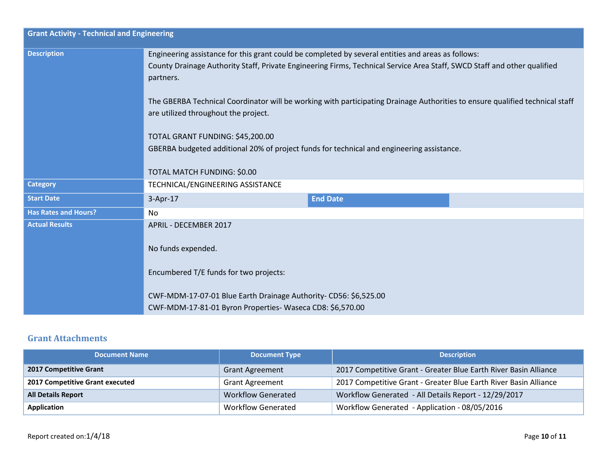| <b>Grant Activity - Technical and Engineering</b> |                                                                                                                                                                                                                                             |                 |  |
|---------------------------------------------------|---------------------------------------------------------------------------------------------------------------------------------------------------------------------------------------------------------------------------------------------|-----------------|--|
| <b>Description</b>                                | Engineering assistance for this grant could be completed by several entities and areas as follows:<br>County Drainage Authority Staff, Private Engineering Firms, Technical Service Area Staff, SWCD Staff and other qualified<br>partners. |                 |  |
|                                                   | The GBERBA Technical Coordinator will be working with participating Drainage Authorities to ensure qualified technical staff<br>are utilized throughout the project.                                                                        |                 |  |
|                                                   | TOTAL GRANT FUNDING: \$45,200.00<br>GBERBA budgeted additional 20% of project funds for technical and engineering assistance.                                                                                                               |                 |  |
|                                                   | TOTAL MATCH FUNDING: \$0.00                                                                                                                                                                                                                 |                 |  |
| <b>Category</b>                                   | TECHNICAL/ENGINEERING ASSISTANCE                                                                                                                                                                                                            |                 |  |
| <b>Start Date</b>                                 | $3-Apr-17$                                                                                                                                                                                                                                  | <b>End Date</b> |  |
| <b>Has Rates and Hours?</b>                       | No                                                                                                                                                                                                                                          |                 |  |
| <b>Actual Results</b>                             | APRIL - DECEMBER 2017<br>No funds expended.                                                                                                                                                                                                 |                 |  |
|                                                   | Encumbered T/E funds for two projects:                                                                                                                                                                                                      |                 |  |
|                                                   | CWF-MDM-17-07-01 Blue Earth Drainage Authority-CD56: \$6,525.00<br>CWF-MDM-17-81-01 Byron Properties-Waseca CD8: \$6,570.00                                                                                                                 |                 |  |

#### **Grant Attachments**

| <b>Document Name</b>            | <b>Document Type</b>      | <b>Description</b>                                               |
|---------------------------------|---------------------------|------------------------------------------------------------------|
| 2017 Competitive Grant          | <b>Grant Agreement</b>    | 2017 Competitive Grant - Greater Blue Earth River Basin Alliance |
| 2017 Competitive Grant executed | <b>Grant Agreement</b>    | 2017 Competitive Grant - Greater Blue Earth River Basin Alliance |
| <b>All Details Report</b>       | <b>Workflow Generated</b> | Workflow Generated - All Details Report - 12/29/2017             |
| Application                     | <b>Workflow Generated</b> | Workflow Generated - Application - 08/05/2016                    |